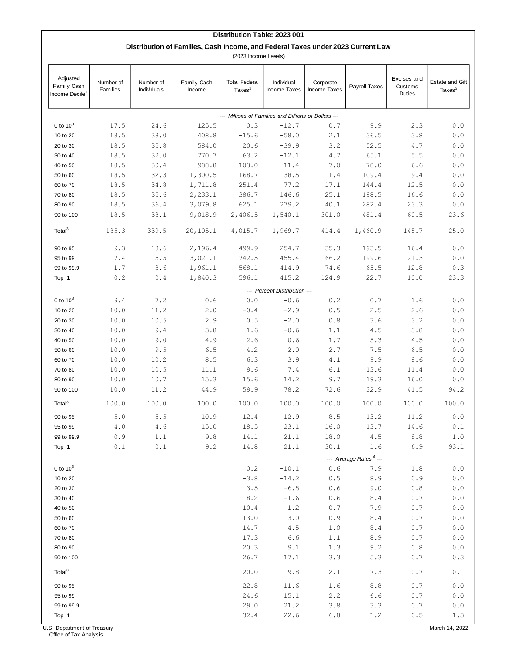## **Distribution Table: 2023 001**

## **Distribution of Families, Cash Income, and Federal Taxes under 2023 Current Law**

(2023 Income Levels)

| Adjusted<br>Family Cash<br>Income Decile <sup>1</sup> | Number of<br>Families                   | Number of<br>Individuals           | Family Cash<br>Income | <b>Total Federal</b><br>Taxes <sup>2</sup> | Individual<br>Income Taxes | Corporate<br>Income Taxes | Payroll Taxes | Excises and<br>Customs<br>Duties | <b>Estate and Gift</b><br>Taxes $3$ |  |
|-------------------------------------------------------|-----------------------------------------|------------------------------------|-----------------------|--------------------------------------------|----------------------------|---------------------------|---------------|----------------------------------|-------------------------------------|--|
| --- Millions of Families and Billions of Dollars ---  |                                         |                                    |                       |                                            |                            |                           |               |                                  |                                     |  |
| 0 to $103$                                            | 17.5                                    | 24.6                               | 125.5                 | 0.3                                        | $-12.7$                    | 0.7                       | 9.9           | 2.3                              | 0.0                                 |  |
| 10 to 20                                              | 18.5                                    | 38.0                               | 408.8                 | $-15.6$                                    | $-58.0$                    | 2.1                       | 36.5          | 3.8                              | 0.0                                 |  |
| 20 to 30                                              | 18.5                                    | 35.8                               | 584.0                 | 20.6                                       | $-39.9$                    | 3.2                       | 52.5          | 4.7                              | 0.0                                 |  |
| 30 to 40                                              | 18.5                                    | 32.0                               | 770.7                 | 63.2                                       | $-12.1$                    | 4.7                       | 65.1          | 5.5                              | 0.0                                 |  |
| 40 to 50                                              | 18.5                                    | 30.4                               | 988.8                 | 103.0                                      | 11.4                       | $7.0$                     | 78.0          | 6.6                              | 0.0                                 |  |
| 50 to 60                                              | 18.5                                    | 32.3                               | 1,300.5               | 168.7                                      | 38.5                       | 11.4                      | 109.4         | 9.4                              | 0.0                                 |  |
| 60 to 70                                              | 18.5                                    | 34.8                               | 1,711.8               | 251.4                                      | 77.2                       | 17.1                      | 144.4         | 12.5                             | 0.0                                 |  |
| 70 to 80                                              | 18.5                                    | 35.6                               | 2,233.1               | 386.7                                      | 146.6                      | 25.1                      | 198.5         | 16.6                             | 0.0                                 |  |
| 80 to 90                                              | 18.5                                    | 36.4                               | 3,079.8               | 625.1                                      | 279.2                      | 40.1                      | 282.4         | 23.3                             | 0.0                                 |  |
| 90 to 100                                             | 18.5                                    | 38.1                               | 9,018.9               | 2,406.5                                    | 1,540.1                    | 301.0                     | 481.4         | 60.5                             | 23.6                                |  |
| Total <sup>3</sup>                                    | 185.3                                   | 339.5                              | 20, 105.1             | 4,015.7                                    | 1,969.7                    | 414.4                     | 1,460.9       | 145.7                            | 25.0                                |  |
| 90 to 95                                              | 9.3                                     | 18.6                               | 2,196.4               | 499.9                                      | 254.7                      | 35.3                      | 193.5         | 16.4                             | 0.0                                 |  |
| 95 to 99                                              | 7.4                                     | 15.5                               | 3,021.1               | 742.5                                      | 455.4                      | 66.2                      | 199.6         | 21.3                             | 0.0                                 |  |
| 99 to 99.9                                            | 1.7                                     | 3.6                                | 1,961.1               | 568.1                                      | 414.9                      | 74.6                      | 65.5          | 12.8                             | 0.3                                 |  |
| Top .1                                                | 0.2                                     | 0.4                                | 1,840.3               | 596.1                                      | 415.2                      | 124.9                     | 22.7          | 10.0                             | 23.3                                |  |
|                                                       |                                         | --- Percent Distribution ---       |                       |                                            |                            |                           |               |                                  |                                     |  |
| 0 to $10^3$                                           | 9.4                                     | 7.2                                | 0.6                   | 0.0                                        | $-0.6$                     | 0.2                       | 0.7           | 1.6                              | 0.0                                 |  |
| 10 to 20                                              | 10.0                                    | 11.2                               | 2.0                   | $-0.4$                                     | $-2.9$                     | 0.5                       | 2.5           | 2.6                              | 0.0                                 |  |
| 20 to 30                                              | 10.0                                    | 10.5                               | 2.9                   | 0.5                                        | $-2.0$                     | $0.8$                     | 3.6           | 3.2                              | 0.0                                 |  |
| 30 to 40                                              | 10.0                                    | 9.4                                | 3.8                   | 1.6                                        | $-0.6$                     | 1.1                       | 4.5           | 3.8                              | 0.0                                 |  |
| 40 to 50                                              | 10.0                                    | 9.0                                | 4.9                   | 2.6                                        | 0.6                        | 1.7                       | 5.3           | 4.5                              | 0.0                                 |  |
| 50 to 60                                              | 10.0                                    | 9.5                                | 6.5                   | 4.2                                        | 2.0                        | 2.7                       | 7.5           | 6.5                              | 0.0                                 |  |
| 60 to 70                                              | 10.0                                    | 10.2                               | 8.5                   | 6.3                                        | 3.9                        | 4.1                       | 9.9           | 8.6                              | 0.0                                 |  |
| 70 to 80                                              | 10.0                                    | 10.5                               | 11.1                  | 9.6                                        | 7.4                        | 6.1                       | 13.6          | 11.4                             | 0.0                                 |  |
| 80 to 90                                              | 10.0                                    | 10.7                               | 15.3                  | 15.6                                       | 14.2                       | 9.7                       | 19.3          | 16.0                             | 0.0                                 |  |
| 90 to 100                                             | 10.0                                    | 11.2                               | 44.9                  | 59.9                                       | 78.2                       | 72.6                      | 32.9          | 41.5                             | 94.2                                |  |
| Total <sup>3</sup>                                    | 100.0                                   | 100.0                              | 100.0                 | 100.0                                      | 100.0                      | 100.0                     | 100.0         | 100.0                            | 100.0                               |  |
| 90 to 95                                              | 5.0                                     | 5.5                                | 10.9                  | 12.4                                       | 12.9                       | 8.5                       | 13.2          | 11.2                             | 0.0                                 |  |
| 95 to 99                                              | 4.0                                     | 4.6                                | 15.0                  | 18.5                                       | 23.1                       | 16.0                      | 13.7          | 14.6                             | 0.1                                 |  |
| 99 to 99.9                                            | 0.9                                     | 1.1                                | 9.8                   | 14.1                                       | 21.1                       | 18.0                      | 4.5           | 8.8                              | 1.0                                 |  |
| Top .1                                                | $\ensuremath{\mathsf{0}}\xspace$ .<br>1 | $0.1\,$                            | 9.2                   | 14.8                                       | 21.1                       | 30.1                      | 1.6           | 6.9                              | 93.1                                |  |
|                                                       |                                         | --- Average Rates <sup>4</sup> --- |                       |                                            |                            |                           |               |                                  |                                     |  |
| 0 to $10^3$                                           |                                         |                                    |                       | 0.2                                        | $-10.1$                    | $0.6$                     | 7.9           | $1\,.8$                          | $0.0$                               |  |
| 10 to 20                                              |                                         |                                    |                       | $-3.8$                                     | $-14.2$                    | 0.5                       | 8.9           | 0.9                              | 0.0                                 |  |
| 20 to 30                                              |                                         |                                    |                       | 3.5                                        | $-6.8$                     | 0.6                       | 9.0           | 0.8                              | 0.0                                 |  |
| 30 to 40                                              |                                         |                                    |                       | 8.2                                        | $-1.6$                     | 0.6                       | 8.4           | 0.7                              | 0.0                                 |  |
| 40 to 50                                              |                                         |                                    |                       | 10.4                                       | 1.2                        | 0.7                       | 7.9           | $0.7$                            | $0.0$                               |  |
| 50 to 60                                              |                                         |                                    |                       | 13.0                                       | 3.0                        | 0.9                       | $\,8$ . $4$   | $0.7\,$                          | 0.0                                 |  |
| 60 to 70                                              |                                         |                                    |                       | 14.7                                       | 4.5                        | 1.0                       | 8.4           | 0.7                              | 0.0                                 |  |
| 70 to 80                                              |                                         |                                    |                       | 17.3                                       | 6.6                        | 1.1                       | 8.9           | 0.7                              | 0.0                                 |  |
| 80 to 90                                              |                                         |                                    |                       | 20.3                                       | 9.1                        | 1.3                       | 9.2           | $0.8\,$                          | 0.0                                 |  |
| 90 to 100                                             |                                         |                                    |                       | 26.7                                       | 17.1                       | 3.3                       | 5.3           | 0.7                              | 0.3                                 |  |
| Total <sup>3</sup>                                    |                                         |                                    |                       | 20.0                                       | 9.8                        | 2.1                       | 7.3           | $0.7\,$                          | 0.1                                 |  |
| 90 to 95                                              |                                         |                                    |                       | 22.8                                       | 11.6                       | 1.6                       | 8.8           | 0.7                              | $0.0$                               |  |
| 95 to 99                                              |                                         |                                    |                       | 24.6                                       | 15.1                       | 2.2                       | 6.6           | $0.7\,$                          | $0.0$                               |  |
| 99 to 99.9                                            |                                         |                                    |                       | 29.0                                       | 21.2                       | 3.8                       | 3.3           | 0.7                              | $0.0$                               |  |
| Top .1                                                |                                         |                                    |                       | 32.4                                       | 22.6                       | $6.8$                     | 1.2           | 0.5                              | 1.3                                 |  |

U.S. Department of Treasury

Office of Tax Analysis